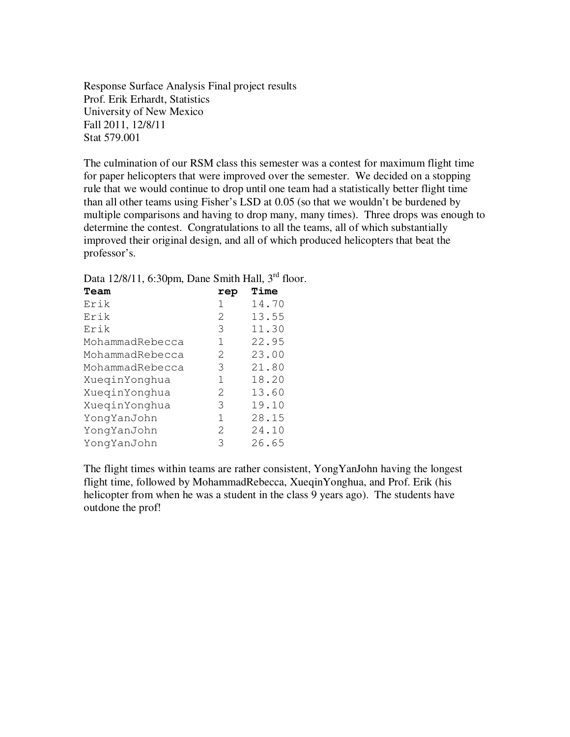Response Surface Analysis Final project results Prof. Erik Erhardt, Statistics University of New Mexico Fall 2011, 12/8/11 Stat 579.001

The culmination of our RSM class this semester was a contest for maximum flight time for paper helicopters that were improved over the semester. We decided on a stopping rule that we would continue to drop until one team had a statistically better flight time than all other teams using Fisher's LSD at 0.05 (so that we wouldn't be burdened by multiple comparisons and having to drop many, many times). Three drops was enough to determine the contest. Congratulations to all the teams, all of which substantially improved their original design, and all of which produced helicopters that beat the professor's.

| Data 12/8/11, 6:30pm, Dane Smith Hall, 3 <sup>rd</sup> floor. |  |  |  |  |  |  |
|---------------------------------------------------------------|--|--|--|--|--|--|
|---------------------------------------------------------------|--|--|--|--|--|--|

| Team            | rep           | Time  |
|-----------------|---------------|-------|
| Erik            | 1             | 14.70 |
| Erik            | 2             | 13.55 |
| Erik            | 3             | 11.30 |
| MohammadRebecca | 1             | 22.95 |
| MohammadRebecca | 2             | 23.00 |
| MohammadRebecca | 3             | 21.80 |
| XueqinYonghua   | 1             | 18.20 |
| XueqinYonghua   | 2             | 13.60 |
| XueqinYonghua   | 3             | 19.10 |
| YongYanJohn     | 1             | 28.15 |
| YongYanJohn     | $\mathcal{L}$ | 24.10 |
| YongYanJohn     | 3             | 26.65 |

The flight times within teams are rather consistent, YongYanJohn having the longest flight time, followed by MohammadRebecca, XueqinYonghua, and Prof. Erik (his helicopter from when he was a student in the class 9 years ago). The students have outdone the prof!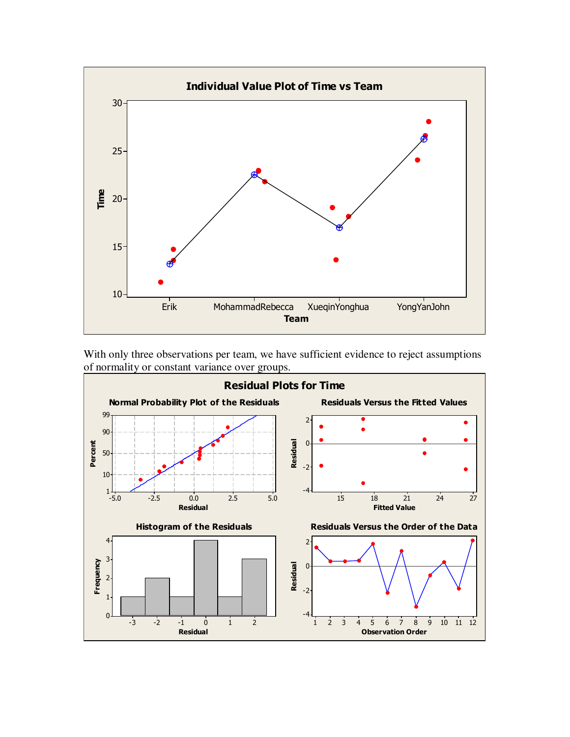

With only three observations per team, we have sufficient evidence to reject assumptions of normality or constant variance over groups.

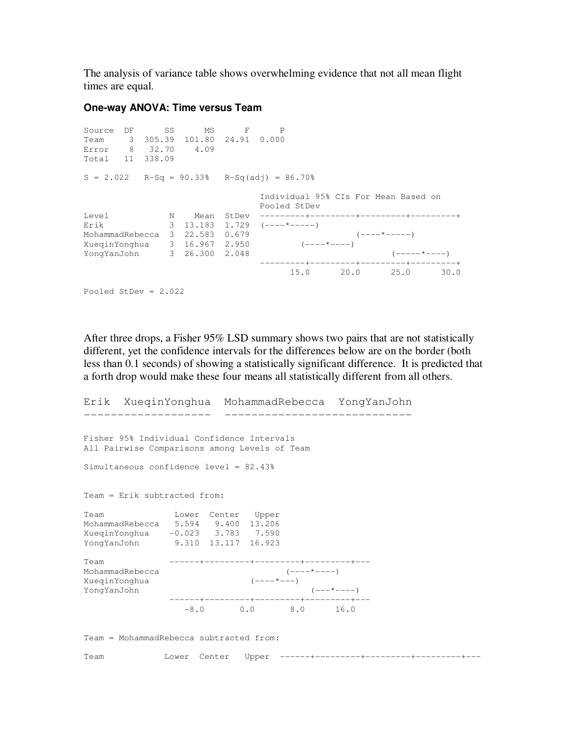The analysis of variance table shows overwhelming evidence that not all mean flight times are equal.

## **One-way ANOVA: Time versus Team**

Source DF SS MS F P Team 3 305.39 101.80 24.91 0.000 Error 8 32.70 4.09 Total 11 338.09  $S = 2.022$  R-Sq = 90.33% R-Sq(adj) = 86.70% Individual 95% CIs For Mean Based on Pooled StDev Level N Mean StDev ---------+---------+---------+---------+ Erik 3 13.183 1.729 (----\*-----) MohammadRebecca 3 22.583 0.679 (----\*-----) XueqinYonghua 3 16.967 2.950 (----\*----) XueqinYonghua 3 16.967 2.950 (----\*----)<br>YongYanJohn 3 26.300 2.048 (----\*----) ---------+---------+---------+---------+ 15.0 20.0 25.0 30.0 Pooled StDev = 2.022

After three drops, a Fisher 95% LSD summary shows two pairs that are not statistically different, yet the confidence intervals for the differences below are on the border (both less than 0.1 seconds) of showing a statistically significant difference. It is predicted that a forth drop would make these four means all statistically different from all others.

```
Erik XueqinYonghua MohammadRebecca YongYanJohn 
------------------- ---------------------------- 
Fisher 95% Individual Confidence Intervals 
All Pairwise Comparisons among Levels of Team 
Simultaneous confidence level = 82.43% 
Team = Erik subtracted from: 
Team Lower Center Upper 
MohammadRebecca 5.594 9.400 13.206 
XueqinYonghua -0.023 3.783 7.590 
YongYanJohn 9.310 13.117 16.923 
Team ------+---------+---------+---------+--- 
MohammadRebecca (----)<br>XueqinYonghua (----*---)
XueqinYonghua
YongYanJohn (---*----) 
               ------+---------+---------+---------+--- 
                 -8.0 0.0 8.0 16.0 
Team = MohammadRebecca subtracted from: 
Team Lower Center Upper ------+---------+---------+---------+---
```